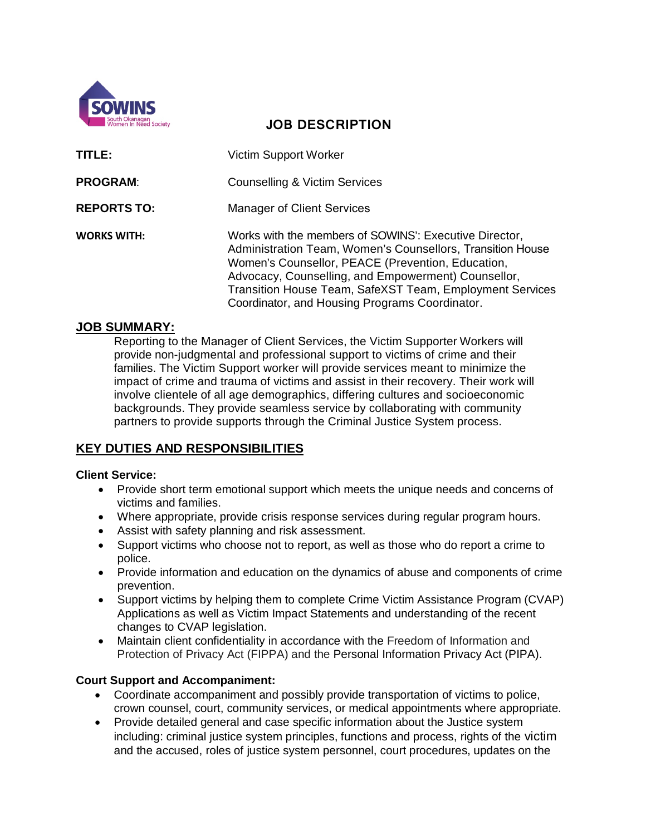

# **JOB DESCRIPTION**

| TITLE:             | Victim Support Worker                                                                                                                                                                                                                                                                                                                          |
|--------------------|------------------------------------------------------------------------------------------------------------------------------------------------------------------------------------------------------------------------------------------------------------------------------------------------------------------------------------------------|
| <b>PROGRAM:</b>    | <b>Counselling &amp; Victim Services</b>                                                                                                                                                                                                                                                                                                       |
| <b>REPORTS TO:</b> | <b>Manager of Client Services</b>                                                                                                                                                                                                                                                                                                              |
| WORKS WITH:        | Works with the members of SOWINS': Executive Director,<br>Administration Team, Women's Counsellors, Transition House<br>Women's Counsellor, PEACE (Prevention, Education,<br>Advocacy, Counselling, and Empowerment) Counsellor,<br>Transition House Team, SafeXST Team, Employment Services<br>Coordinator, and Housing Programs Coordinator. |

#### **JOB SUMMARY:**

Reporting to the Manager of Client Services, the Victim Supporter Workers will provide non-judgmental and professional support to victims of crime and their families. The Victim Support worker will provide services meant to minimize the impact of crime and trauma of victims and assist in their recovery. Their work will involve clientele of all age demographics, differing cultures and socioeconomic backgrounds. They provide seamless service by collaborating with community partners to provide supports through the Criminal Justice System process.

# **KEY DUTIES AND RESPONSIBILITIES**

#### **Client Service:**

- Provide short term emotional support which meets the unique needs and concerns of victims and families.
- Where appropriate, provide crisis response services during regular program hours.
- Assist with safety planning and risk assessment.
- Support victims who choose not to report, as well as those who do report a crime to police.
- Provide information and education on the dynamics of abuse and components of crime prevention.
- Support victims by helping them to complete Crime Victim Assistance Program (CVAP) Applications as well as Victim Impact Statements and understanding of the recent changes to CVAP legislation.
- Maintain client confidentiality in accordance with the Freedom of Information and Protection of Privacy Act (FIPPA) and the Personal Information Privacy Act (PIPA).

### **Court Support and Accompaniment:**

- Coordinate accompaniment and possibly provide transportation of victims to police, crown counsel, court, community services, or medical appointments where appropriate.
- Provide detailed general and case specific information about the Justice system including: criminal justice system principles, functions and process, rights of the victim and the accused, roles of justice system personnel, court procedures, updates on the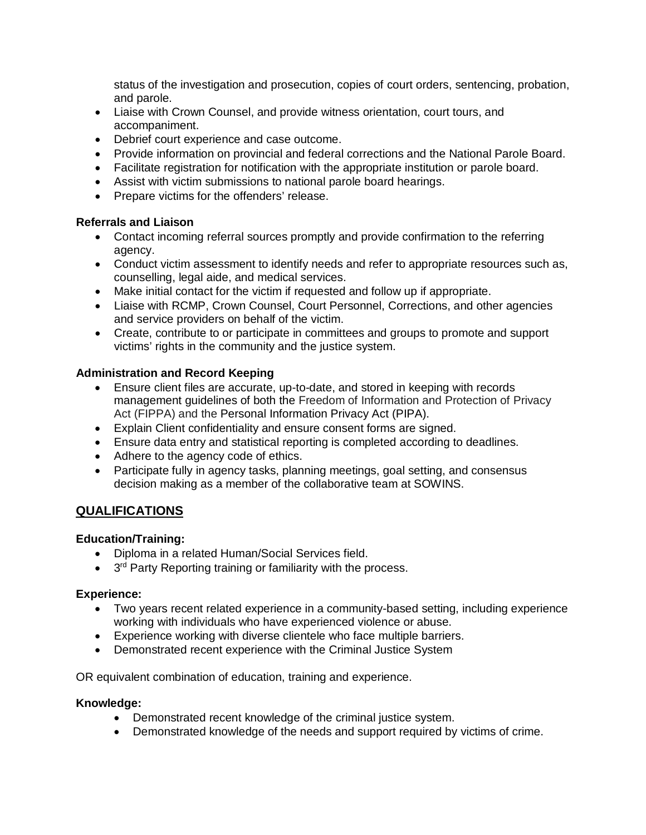status of the investigation and prosecution, copies of court orders, sentencing, probation, and parole.

- Liaise with Crown Counsel, and provide witness orientation, court tours, and accompaniment.
- Debrief court experience and case outcome.
- Provide information on provincial and federal corrections and the National Parole Board.
- Facilitate registration for notification with the appropriate institution or parole board.
- Assist with victim submissions to national parole board hearings.
- Prepare victims for the offenders' release.

### **Referrals and Liaison**

- Contact incoming referral sources promptly and provide confirmation to the referring agency.
- Conduct victim assessment to identify needs and refer to appropriate resources such as, counselling, legal aide, and medical services.
- Make initial contact for the victim if requested and follow up if appropriate.
- Liaise with RCMP, Crown Counsel, Court Personnel, Corrections, and other agencies and service providers on behalf of the victim.
- Create, contribute to or participate in committees and groups to promote and support victims' rights in the community and the justice system.

### **Administration and Record Keeping**

- Ensure client files are accurate, up-to-date, and stored in keeping with records management guidelines of both the Freedom of Information and Protection of Privacy Act (FIPPA) and the Personal Information Privacy Act (PIPA).
- Explain Client confidentiality and ensure consent forms are signed.
- Ensure data entry and statistical reporting is completed according to deadlines.
- Adhere to the agency code of ethics.
- Participate fully in agency tasks, planning meetings, goal setting, and consensus decision making as a member of the collaborative team at SOWINS.

# **QUALIFICATIONS**

### **Education/Training:**

- Diploma in a related Human/Social Services field.
- 3<sup>rd</sup> Party Reporting training or familiarity with the process.

### **Experience:**

- Two years recent related experience in a community-based setting, including experience working with individuals who have experienced violence or abuse.
- Experience working with diverse clientele who face multiple barriers.
- Demonstrated recent experience with the Criminal Justice System

OR equivalent combination of education, training and experience.

### **Knowledge:**

- Demonstrated recent knowledge of the criminal justice system.
- Demonstrated knowledge of the needs and support required by victims of crime.